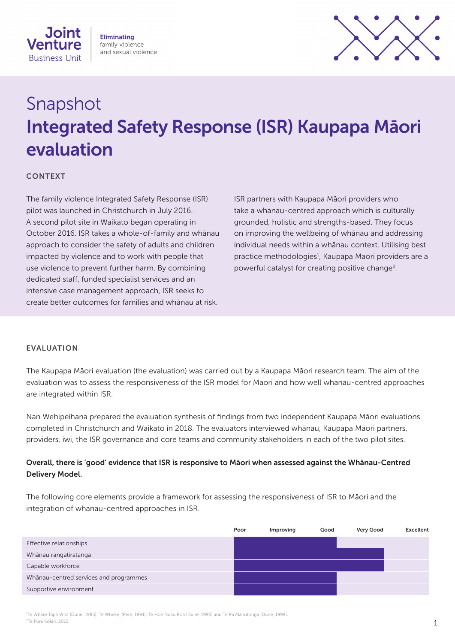

**Eliminating** family violence and sexual violence



# Snapshot Integrated Safety Response (ISR) Kaupapa Māori evaluation

#### CONTEXT

The family violence Integrated Safety Response (ISR) pilot was launched in Christchurch in July 2016. A second pilot site in Waikato began operating in October 2016. ISR takes a whole-of-family and whānau approach to consider the safety of adults and children impacted by violence and to work with people that use violence to prevent further harm. By combining dedicated staff, funded specialist services and an intensive case management approach, ISR seeks to create better outcomes for families and whānau at risk.

ISR partners with Kaupapa Māori providers who take a whānau-centred approach which is culturally grounded, holistic and strengths-based. They focus on improving the wellbeing of whānau and addressing individual needs within a whānau context. Utilising best practice methodologies<sup>1</sup>, Kaupapa Māori providers are a powerful catalyst for creating positive change<sup>2</sup>.

#### EVALUATION

The Kaupapa Māori evaluation (the evaluation) was carried out by a Kaupapa Māori research team. The aim of the evaluation was to assess the responsiveness of the ISR model for Māori and how well whānau-centred approaches are integrated within ISR.

Nan Wehipeihana prepared the evaluation synthesis of findings from two independent Kaupapa Māori evaluations completed in Christchurch and Waikato in 2018. The evaluators interviewed whānau, Kaupapa Māori partners, providers, iwi, the ISR governance and core teams and community stakeholders in each of the two pilot sites.

#### Overall, there is 'good' evidence that ISR is responsive to Māori when assessed against the Whānau-Centred Delivery Model.

The following core elements provide a framework for assessing the responsiveness of ISR to Māori and the integration of whānau-centred approaches in ISR.

|                                        | Poor | Improving | Good | <b>Very Good</b> | <b>Excellent</b> |
|----------------------------------------|------|-----------|------|------------------|------------------|
| Effective relationships                |      |           |      |                  |                  |
| Whānau rangatiratanga                  |      |           |      |                  |                  |
| Capable workforce                      |      |           |      |                  |                  |
| Whānau-centred services and programmes |      |           |      |                  |                  |
| Supportive environment                 |      |           |      |                  |                  |

1 Te Whare Tapa Whā (Durie, 1985); Te Wheke, (Pere, 1991); Te Hoe Nuku Roa (Durie, 1995) and Te Pa Māhutonga (Durie, 1999). 2 Te Puni Kōkiri, 2015.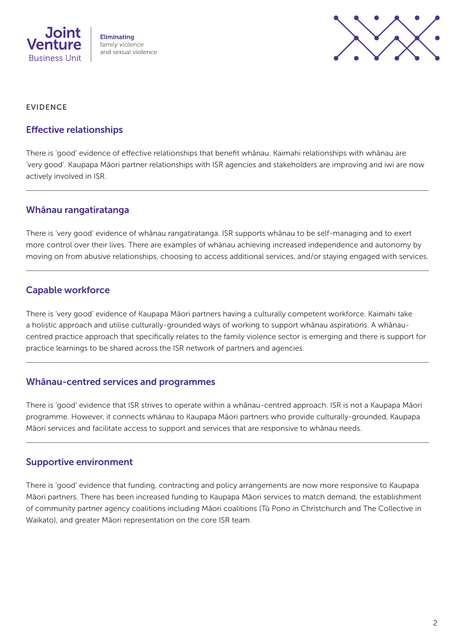

Eliminating family violence and sexual violence



#### EVIDENCE

# Effective relationships

There is 'good' evidence of effective relationships that benefit whānau. Kaimahi relationships with whānau are 'very good'. Kaupapa Māori partner relationships with ISR agencies and stakeholders are improving and iwi are now actively involved in ISR.

## Whānau rangatiratanga

There is 'very good' evidence of whānau rangatiratanga. ISR supports whānau to be self-managing and to exert more control over their lives. There are examples of whānau achieving increased independence and autonomy by moving on from abusive relationships, choosing to access additional services, and/or staying engaged with services.

# Capable workforce

There is 'very good' evidence of Kaupapa Māori partners having a culturally competent workforce. Kaimahi take a holistic approach and utilise culturally-grounded ways of working to support whānau aspirations. A whānaucentred practice approach that specifically relates to the family violence sector is emerging and there is support for practice learnings to be shared across the ISR network of partners and agencies.

#### Whānau-centred services and programmes

There is 'good' evidence that ISR strives to operate within a whānau-centred approach. ISR is not a Kaupapa Māori programme. However, it connects whānau to Kaupapa Māori partners who provide culturally-grounded, Kaupapa Māori services and facilitate access to support and services that are responsive to whānau needs.

#### Supportive environment

There is 'good' evidence that funding, contracting and policy arrangements are now more responsive to Kaupapa Māori partners. There has been increased funding to Kaupapa Māori services to match demand, the establishment of community partner agency coalitions including Māori coalitions (Tū Pono in Christchurch and The Collective in Waikato), and greater Māori representation on the core ISR team.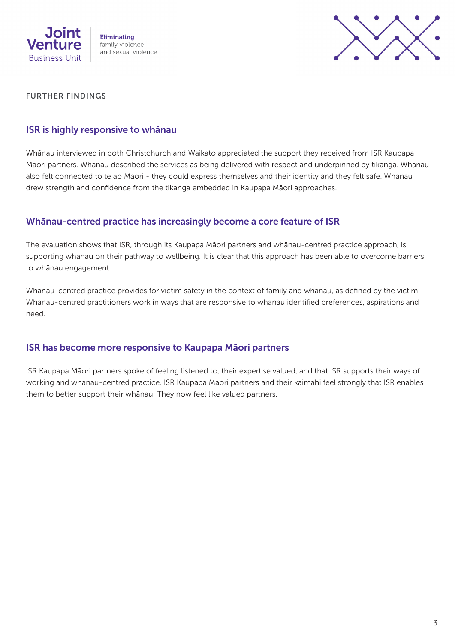

Eliminating family violence and sexual violence



# FURTHER FINDINGS

# ISR is highly responsive to whānau

Whānau interviewed in both Christchurch and Waikato appreciated the support they received from ISR Kaupapa Māori partners. Whānau described the services as being delivered with respect and underpinned by tikanga. Whānau also felt connected to te ao Māori - they could express themselves and their identity and they felt safe. Whānau drew strength and confidence from the tikanga embedded in Kaupapa Māori approaches.

## Whānau-centred practice has increasingly become a core feature of ISR

The evaluation shows that ISR, through its Kaupapa Māori partners and whānau-centred practice approach, is supporting whānau on their pathway to wellbeing. It is clear that this approach has been able to overcome barriers to whānau engagement.

Whānau-centred practice provides for victim safety in the context of family and whānau, as defined by the victim. Whānau-centred practitioners work in ways that are responsive to whānau identified preferences, aspirations and need.

#### ISR has become more responsive to Kaupapa Māori partners

ISR Kaupapa Māori partners spoke of feeling listened to, their expertise valued, and that ISR supports their ways of working and whānau-centred practice. ISR Kaupapa Māori partners and their kaimahi feel strongly that ISR enables them to better support their whānau. They now feel like valued partners.